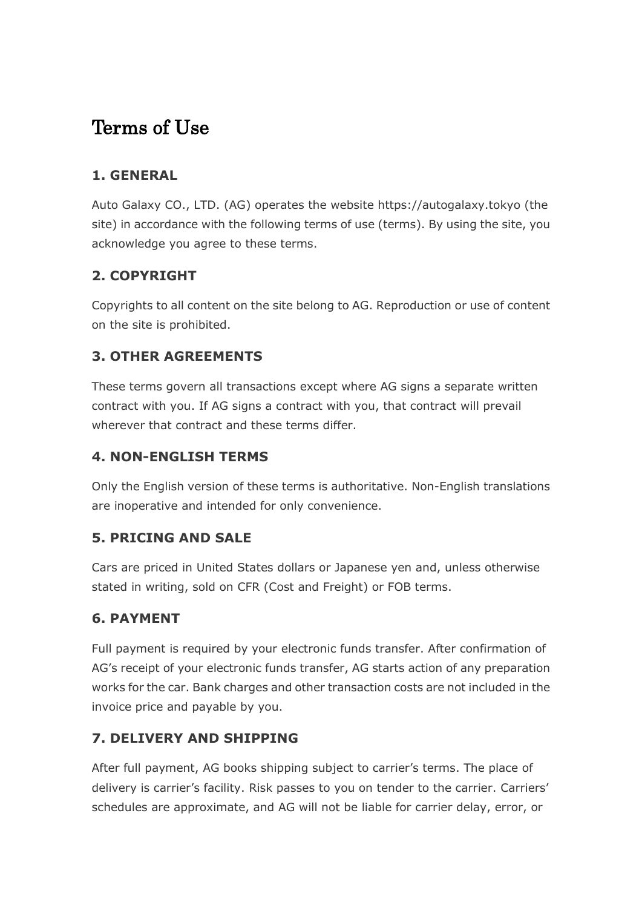# Terms of Use

## **1. GENERAL**

Auto Galaxy CO., LTD. (AG) operates the website https://autogalaxy.tokyo (the site) in accordance with the following terms of use (terms). By using the site, you acknowledge you agree to these terms.

# **2. COPYRIGHT**

Copyrights to all content on the site belong to AG. Reproduction or use of content on the site is prohibited.

## **3. OTHER AGREEMENTS**

These terms govern all transactions except where AG signs a separate written contract with you. If AG signs a contract with you, that contract will prevail wherever that contract and these terms differ.

#### **4. NON-ENGLISH TERMS**

Only the English version of these terms is authoritative. Non-English translations are inoperative and intended for only convenience.

#### **5. PRICING AND SALE**

Cars are priced in United States dollars or Japanese yen and, unless otherwise stated in writing, sold on CFR (Cost and Freight) or FOB terms.

#### **6. PAYMENT**

Full payment is required by your electronic funds transfer. After confirmation of AG's receipt of your electronic funds transfer, AG starts action of any preparation works for the car. Bank charges and other transaction costs are not included in the invoice price and payable by you.

#### **7. DELIVERY AND SHIPPING**

After full payment, AG books shipping subject to carrier's terms. The place of delivery is carrier's facility. Risk passes to you on tender to the carrier. Carriers' schedules are approximate, and AG will not be liable for carrier delay, error, or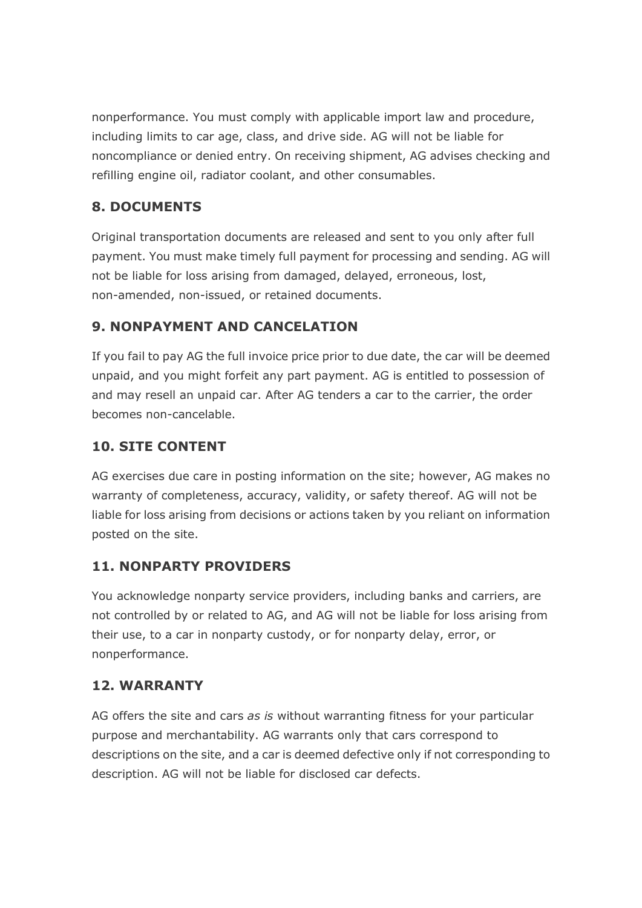nonperformance. You must comply with applicable import law and procedure, including limits to car age, class, and drive side. AG will not be liable for noncompliance or denied entry. On receiving shipment, AG advises checking and refilling engine oil, radiator coolant, and other consumables.

## **8. DOCUMENTS**

Original transportation documents are released and sent to you only after full payment. You must make timely full payment for processing and sending. AG will not be liable for loss arising from damaged, delayed, erroneous, lost, non-amended, non-issued, or retained documents.

## **9. NONPAYMENT AND CANCELATION**

If you fail to pay AG the full invoice price prior to due date, the car will be deemed unpaid, and you might forfeit any part payment. AG is entitled to possession of and may resell an unpaid car. After AG tenders a car to the carrier, the order becomes non-cancelable.

## **10. SITE CONTENT**

AG exercises due care in posting information on the site; however, AG makes no warranty of completeness, accuracy, validity, or safety thereof. AG will not be liable for loss arising from decisions or actions taken by you reliant on information posted on the site.

# **11. NONPARTY PROVIDERS**

You acknowledge nonparty service providers, including banks and carriers, are not controlled by or related to AG, and AG will not be liable for loss arising from their use, to a car in nonparty custody, or for nonparty delay, error, or nonperformance.

#### **12. WARRANTY**

AG offers the site and cars *as is* without warranting fitness for your particular purpose and merchantability. AG warrants only that cars correspond to descriptions on the site, and a car is deemed defective only if not corresponding to description. AG will not be liable for disclosed car defects.